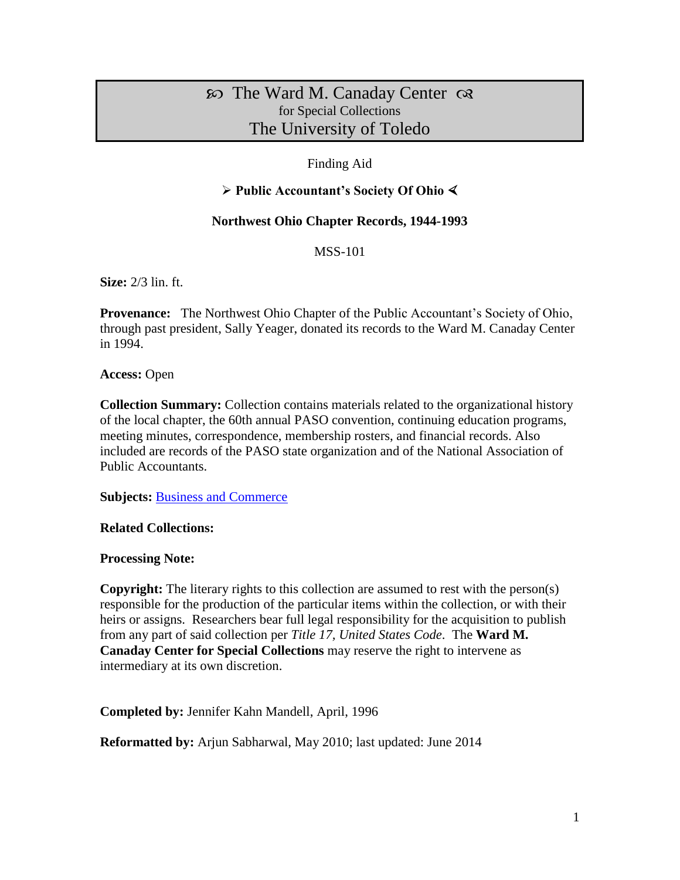# The Ward M. Canaday Center for Special Collections The University of Toledo

## Finding Aid

### **Public Accountant's Society Of Ohio**

#### **Northwest Ohio Chapter Records, 1944-1993**

MSS-101

**Size:** 2/3 lin. ft.

**Provenance:** The Northwest Ohio Chapter of the Public Accountant's Society of Ohio, through past president, Sally Yeager, donated its records to the Ward M. Canaday Center in 1994.

**Access:** Open

**Collection Summary:** Collection contains materials related to the organizational history of the local chapter, the 60th annual PASO convention, continuing education programs, meeting minutes, correspondence, membership rosters, and financial records. Also included are records of the PASO state organization and of the National Association of Public Accountants.

**Subjects:** [Business and Commerce](http://www.utoledo.edu/library/canaday/guidepages/business.html)

**Related Collections:** 

**Processing Note:** 

**Copyright:** The literary rights to this collection are assumed to rest with the person(s) responsible for the production of the particular items within the collection, or with their heirs or assigns. Researchers bear full legal responsibility for the acquisition to publish from any part of said collection per *Title 17, United States Code*. The **Ward M. Canaday Center for Special Collections** may reserve the right to intervene as intermediary at its own discretion.

**Completed by:** Jennifer Kahn Mandell, April, 1996

**Reformatted by:** Arjun Sabharwal, May 2010; last updated: June 2014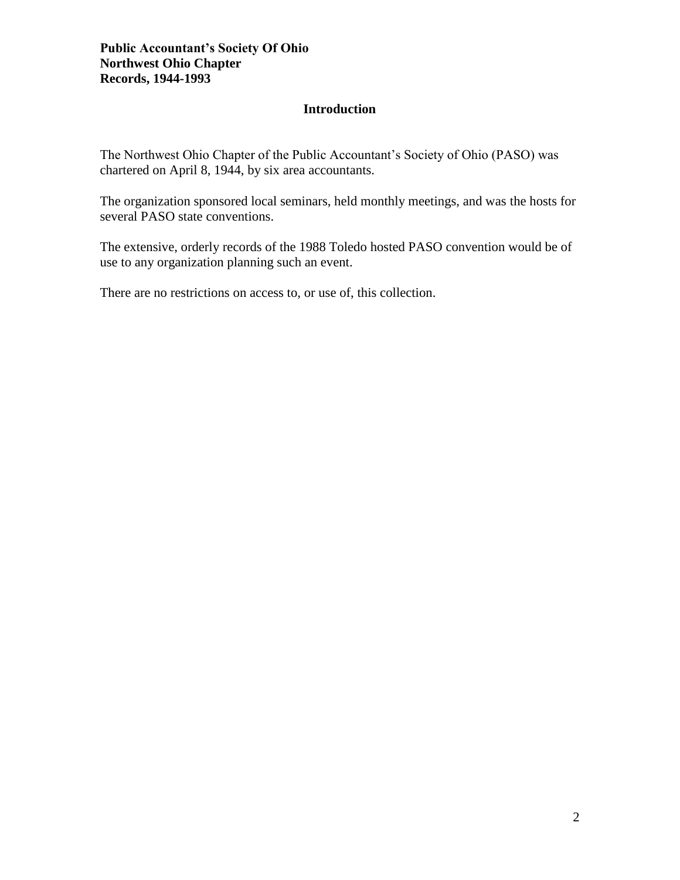#### **Introduction**

The Northwest Ohio Chapter of the Public Accountant's Society of Ohio (PASO) was chartered on April 8, 1944, by six area accountants.

The organization sponsored local seminars, held monthly meetings, and was the hosts for several PASO state conventions.

The extensive, orderly records of the 1988 Toledo hosted PASO convention would be of use to any organization planning such an event.

There are no restrictions on access to, or use of, this collection.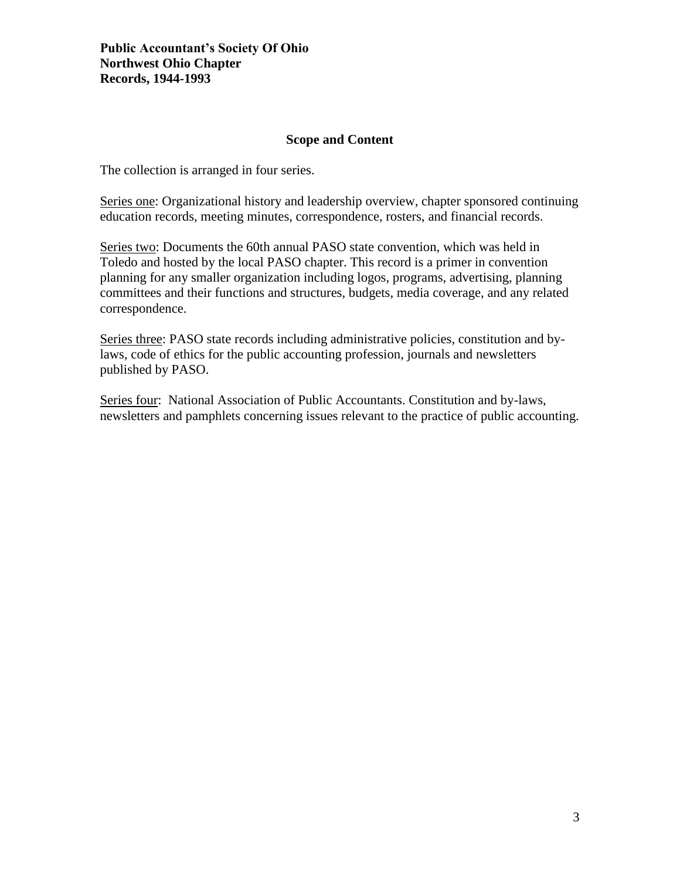#### **Scope and Content**

The collection is arranged in four series.

Series one: Organizational history and leadership overview, chapter sponsored continuing education records, meeting minutes, correspondence, rosters, and financial records.

Series two: Documents the 60th annual PASO state convention, which was held in Toledo and hosted by the local PASO chapter. This record is a primer in convention planning for any smaller organization including logos, programs, advertising, planning committees and their functions and structures, budgets, media coverage, and any related correspondence.

Series three: PASO state records including administrative policies, constitution and bylaws, code of ethics for the public accounting profession, journals and newsletters published by PASO.

Series four: National Association of Public Accountants. Constitution and by-laws, newsletters and pamphlets concerning issues relevant to the practice of public accounting.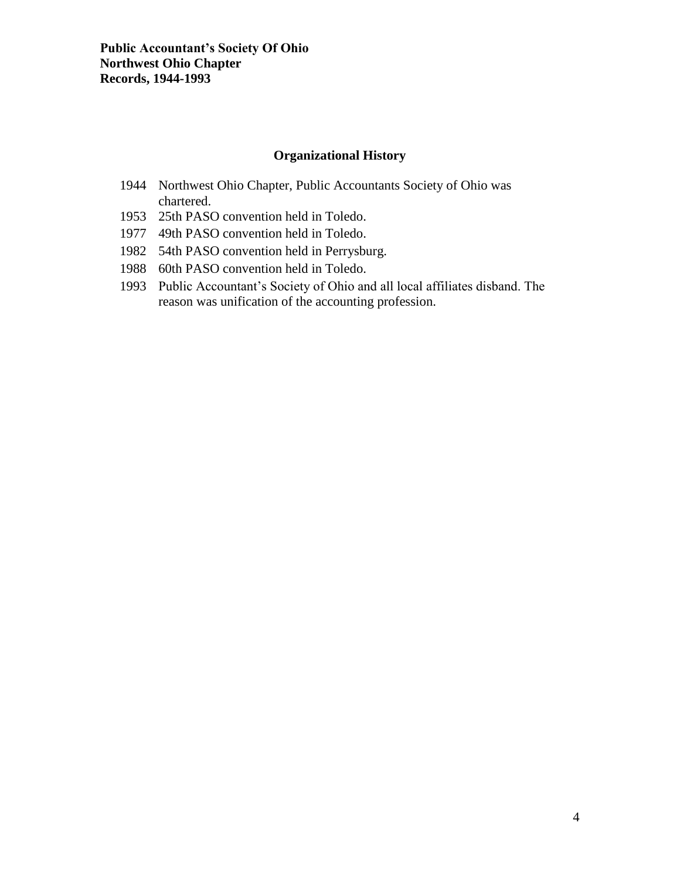## **Organizational History**

- 1944 Northwest Ohio Chapter, Public Accountants Society of Ohio was chartered.
- 1953 25th PASO convention held in Toledo.
- 1977 49th PASO convention held in Toledo.
- 1982 54th PASO convention held in Perrysburg.
- 1988 60th PASO convention held in Toledo.
- 1993 Public Accountant's Society of Ohio and all local affiliates disband. The reason was unification of the accounting profession.